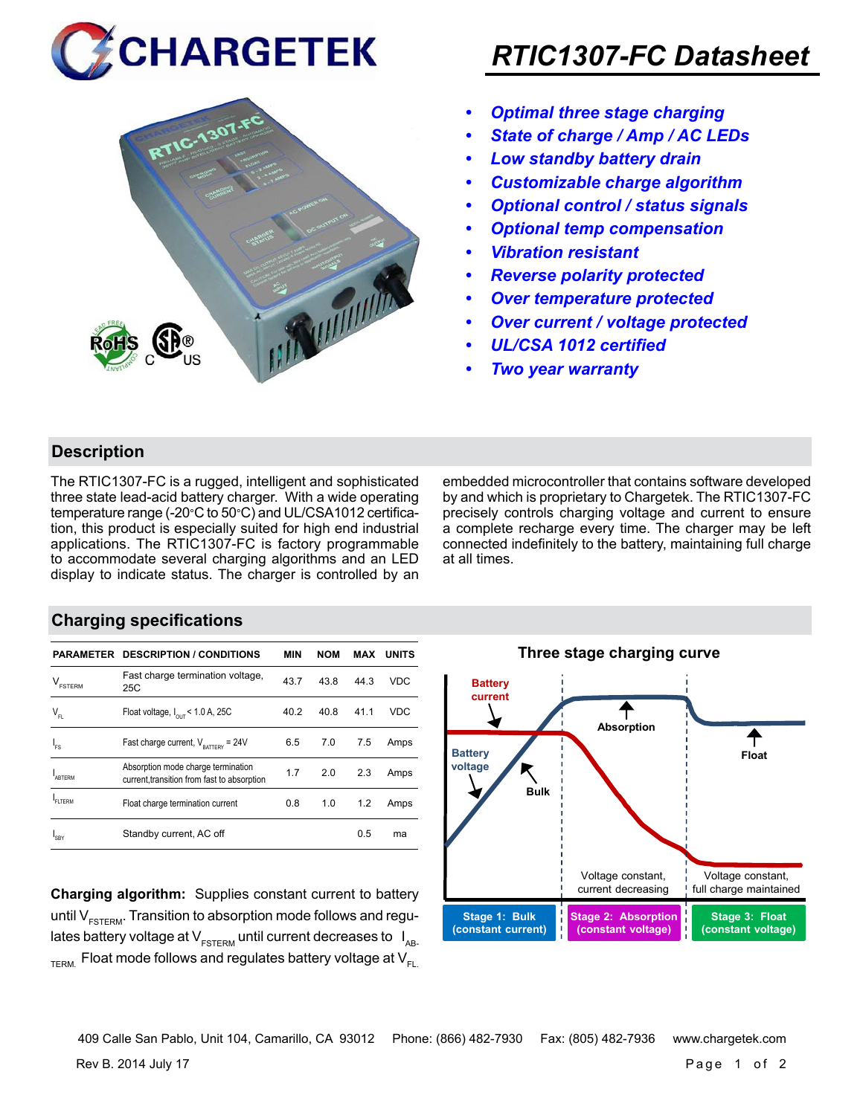



## *RTIC1307-FC Datasheet*

- *• Optimal three stage charging*
- *• State of charge / Amp / AC LEDs*
- *• Low standby battery drain*
- *• Customizable charge algorithm*
- *• Optional control / status signals*
- *• Optional temp compensation*
- *• Vibration resistant*
- *• Reverse polarity protected*
- *• Over temperature protected*
- *• Over current / voltage protected*
- *• UL/CSA 1012 certified*
- *• Two year warranty*

#### **Description**

The RTIC1307-FC is a rugged, intelligent and sophisticated three state lead-acid battery charger. With a wide operating temperature range (-20°C to 50°C) and UL/CSA1012 certification, this product is especially suited for high end industrial applications. The RTIC1307-FC is factory programmable to accommodate several charging algorithms and an LED display to indicate status. The charger is controlled by an embedded microcontroller that contains software developed by and which is proprietary to Chargetek. The RTIC1307-FC precisely controls charging voltage and current to ensure a complete recharge every time. The charger may be left connected indefinitely to the battery, maintaining full charge at all times.

#### **Charging specifications**

|                                      | <b>PARAMETER DESCRIPTION / CONDITIONS</b>                                         | <b>MIN</b> | <b>NOM</b> | MAX  | <b>UNITS</b> |
|--------------------------------------|-----------------------------------------------------------------------------------|------------|------------|------|--------------|
| $\mathsf{V}_{\texttt{\tiny FSTERM}}$ | Fast charge termination voltage,<br>25C                                           | 43.7       | 43.8       | 44.3 | <b>VDC</b>   |
| $\mathsf{V}_{\mathsf{FL}}$           | Float voltage, $I_{\text{out}}$ < 1.0 A, 25C                                      | 40.2       | 40.8       | 41.1 | <b>VDC</b>   |
| ı.                                   | Fast charge current, $V_{\text{partrev}} = 24V$                                   | 6.5        | 7.0        | 7.5  | Amps         |
| <b>ARTERM</b>                        | Absorption mode charge termination<br>current, transition from fast to absorption | 1.7        | 2.0        | 2.3  | Amps         |
| FI TFRM                              | Float charge termination current                                                  | 0.8        | 1.0        | 1.2  | Amps         |
| SRY                                  | Standby current, AC off                                                           |            |            | 0.5  | ma           |

**Charging algorithm:** Supplies constant current to battery until  $V_{ESTFRM}$ . Transition to absorption mode follows and regulates battery voltage at  $V_{ESTERM}$  until current decreases to  $I_{AR}$  $T_{\text{ERM}}$  Float mode follows and regulates battery voltage at  $V_{\text{F1}}$ 



Rev B. 2014 July 17 Page 1 of 2 409 Calle San Pablo, Unit 104, Camarillo, CA 93012 Phone: (866) 482-7930 Fax: (805) 482-7936 www.chargetek.com